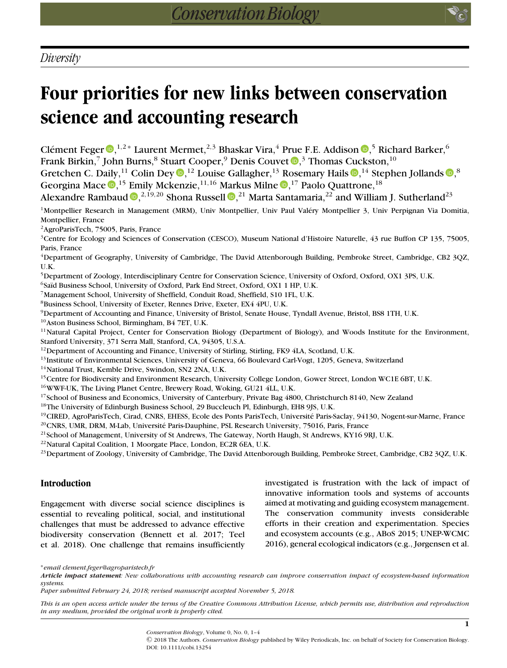# **Four priorities for new links between conservation science and accounting research**

Clément Feger  $\mathbb{D},^{1,2}$  $\mathbb{D},^{1,2}$  $\mathbb{D},^{1,2}$ \* Laurent Mermet, $^{2,3}$  Bhaskar Vira, $^4$  Prue F.E. Addison  $\mathbb{D},^5$  Richard Barker, $^6$ Frank Birkin[,](https://orcid.org/0000-0001-8692-9694) $^7$  John Burns, $^8$  Stuart Cooper, $^9$  Denis Couvet  $\textcolor{red}{\bullet}$ , $^3$  Thomas Cuckston, $^{10}$ Gretchen C. Daily[,](https://orcid.org/0000-0002-2822-5450) $^{11}$  Colin Dey  $\textcircled{\tiny{\bullet}},^{12}$  Louise Gallagher, $^{13}$  Rosemary Hails  $\textcircled{\tiny{\bullet}},^{14}$  Stephen Jollands  $\textcircled{\tiny{\bullet}},^8$ Georgina Mace  $\mathbb{D},^{15}$  $\mathbb{D},^{15}$  $\mathbb{D},^{15}$  Emily Mckenzie, $^{11,16}$  Markus Milne  $\mathbb{D},^{17}$  Paolo Quattrone, $^{18}$ Alexandre Rambaud  $\mathbf{D}, ^{2,19,20}$  $\mathbf{D}, ^{2,19,20}$  $\mathbf{D}, ^{2,19,20}$  Shona Russell  $\mathbf{D}, ^{21}$  Marta Santamaria, $^{22}$  and William J. Sutherland $^{23}$ 

<sup>1</sup>Montpellier Research in Management (MRM), Univ Montpellier, Univ Paul Valéry Montpellier 3, Univ Perpignan Via Domitia, Montpellier, France

2AgroParisTech, 75005, Paris, France

3Centre for Ecology and Sciences of Conservation (CESCO), Museum National d'Histoire Naturelle, 43 rue Buffon CP 135, 75005, Paris, France

4Department of Geography, University of Cambridge, The David Attenborough Building, Pembroke Street, Cambridge, CB2 3QZ, U.K.

5Department of Zoology, Interdisciplinary Centre for Conservation Science, University of Oxford, Oxford, OX1 3PS, U.K.

<sup>6</sup>Saïd Business School, University of Oxford, Park End Street, Oxford, OX1 1 HP, U.K.

7Management School, University of Sheffield, Conduit Road, Sheffield, S10 1FL, U.K.

8Business School, University of Exeter, Rennes Drive, Exeter, EX4 4PU, U.K.

<sup>9</sup>Department of Accounting and Finance, University of Bristol, Senate House, Tyndall Avenue, Bristol, BS8 1TH, U.K.

10Aston Business School, Birmingham, B4 7ET, U.K.

<sup>11</sup>Natural Capital Project, Center for Conservation Biology (Department of Biology), and Woods Institute for the Environment, Stanford University, 371 Serra Mall, Stanford, CA, 94305, U.S.A.

<sup>12</sup>Department of Accounting and Finance, University of Stirling, Stirling, FK9 4LA, Scotland, U.K.

<sup>13</sup>Institute of Environmental Sciences, University of Geneva, 66 Boulevard Carl-Vogt, 1205, Geneva, Switzerland

<sup>14</sup>National Trust, Kemble Drive, Swindon, SN2 2NA, U.K.

<sup>15</sup>Centre for Biodiversity and Environment Research, University College London, Gower Street, London WC1E 6BT, U.K.

16WWF-UK, The Living Planet Centre, Brewery Road, Woking, GU21 4LL, U.K.

<sup>17</sup>School of Business and Economics, University of Canterbury, Private Bag 4800, Christchurch 8140, New Zealand

<sup>18</sup>The University of Edinburgh Business School, 29 Buccleuch Pl, Edinburgh, EH8 9JS, U.K.

<sup>19</sup>CIRED, AgroParisTech, Cirad, CNRS, EHESS, Ecole des Ponts ParisTech, Université Paris-Saclay, 94130, Nogent-sur-Marne, France <sup>20</sup>CNRS, UMR, DRM, M-Lab, Université Paris-Dauphine, PSL Research University, 75016, Paris, France

<sup>21</sup>School of Management, University of St Andrews, The Gateway, North Haugh, St Andrews, KY16 9RJ, U.K.

<sup>22</sup>Natural Capital Coalition, 1 Moorgate Place, London, EC2R 6EA, U.K.

<sup>23</sup>Department of Zoology, University of Cambridge, The David Attenborough Building, Pembroke Street, Cambridge, CB2 3QZ, U.K.

# **Introduction**

Engagement with diverse social science disciplines is essential to revealing political, social, and institutional challenges that must be addressed to advance effective biodiversity conservation (Bennett et al. 2017; Teel et al. 2018). One challenge that remains insufficiently

investigated is frustration with the lack of impact of innovative information tools and systems of accounts aimed at motivating and guiding ecosystem management. The conservation community invests considerable efforts in their creation and experimentation. Species and ecosystem accounts (e.g., ABoS 2015; UNEP-WCMC 2016), general ecological indicators (e.g., Jørgensen et al.

∗*email clement.feger@agroparistech.fr*

*Article impact statement: New collaborations with accounting research can improve conservation impact of ecosystem-based information systems.*

*Paper submitted February 24, 2018; revised manuscript accepted November 5, 2018.*

*This is an open access article under the terms of the [Creative Commons Attribution](http://creativecommons.org/licenses/by/4.0/) License, which permits use, distribution and reproduction in any medium, provided the original work is properly cited.*

> *Conservation Biology*, Volume 0, No. 0, 1–4 C 2018 The Authors. *Conservation Biology* published by Wiley Periodicals, Inc. on behalf of Society for Conservation Biology. DOI: 10.1111/cobi.13254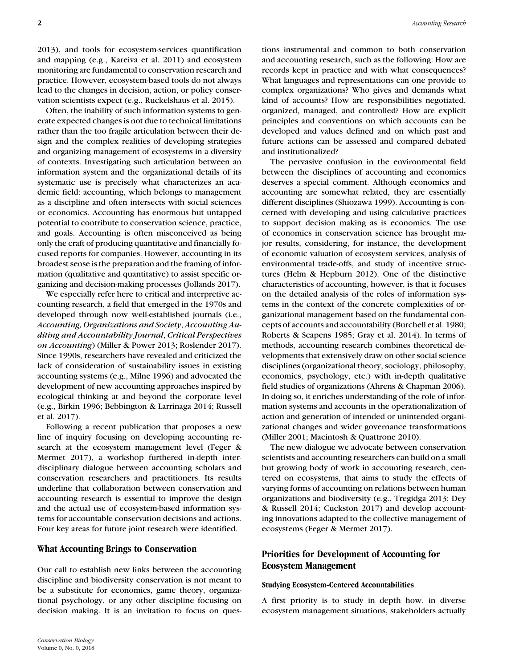2013), and tools for ecosystem-services quantification and mapping (e.g., Kareiva et al. 2011) and ecosystem monitoring are fundamental to conservation research and practice. However, ecosystem-based tools do not always lead to the changes in decision, action, or policy conservation scientists expect (e.g., Ruckelshaus et al. 2015).

Often, the inability of such information systems to generate expected changes is not due to technical limitations rather than the too fragile articulation between their design and the complex realities of developing strategies and organizing management of ecosystems in a diversity of contexts. Investigating such articulation between an information system and the organizational details of its systematic use is precisely what characterizes an academic field: accounting, which belongs to management as a discipline and often intersects with social sciences or economics. Accounting has enormous but untapped potential to contribute to conservation science, practice, and goals. Accounting is often misconceived as being only the craft of producing quantitative and financially focused reports for companies. However, accounting in its broadest sense is the preparation and the framing of information (qualitative and quantitative) to assist specific organizing and decision-making processes (Jollands 2017).

We especially refer here to critical and interpretive accounting research, a field that emerged in the 1970s and developed through now well-established journals (i.e., *Accounting, Organizations and Society*, *Accounting Auditing and Accountability Journal*, *Critical Perspectives on Accounting*) (Miller & Power 2013; Roslender 2017). Since 1990s, researchers have revealed and criticized the lack of consideration of sustainability issues in existing accounting systems (e.g., Milne 1996) and advocated the development of new accounting approaches inspired by ecological thinking at and beyond the corporate level (e.g., Birkin 1996; Bebbington & Larrinaga 2014; Russell et al. 2017).

Following a recent publication that proposes a new line of inquiry focusing on developing accounting research at the ecosystem management level (Feger & Mermet 2017), a workshop furthered in-depth interdisciplinary dialogue between accounting scholars and conservation researchers and practitioners. Its results underline that collaboration between conservation and accounting research is essential to improve the design and the actual use of ecosystem-based information systems for accountable conservation decisions and actions. Four key areas for future joint research were identified.

### **What Accounting Brings to Conservation**

Our call to establish new links between the accounting discipline and biodiversity conservation is not meant to be a substitute for economics, game theory, organizational psychology, or any other discipline focusing on decision making. It is an invitation to focus on questions instrumental and common to both conservation and accounting research, such as the following: How are records kept in practice and with what consequences? What languages and representations can one provide to complex organizations? Who gives and demands what kind of accounts? How are responsibilities negotiated, organized, managed, and controlled? How are explicit principles and conventions on which accounts can be developed and values defined and on which past and future actions can be assessed and compared debated and institutionalized?

The pervasive confusion in the environmental field between the disciplines of accounting and economics deserves a special comment. Although economics and accounting are somewhat related, they are essentially different disciplines (Shiozawa 1999). Accounting is concerned with developing and using calculative practices to support decision making as is economics. The use of economics in conservation science has brought major results, considering, for instance, the development of economic valuation of ecosystem services, analysis of environmental trade-offs, and study of incentive structures (Helm & Hepburn 2012). One of the distinctive characteristics of accounting, however, is that it focuses on the detailed analysis of the roles of information systems in the context of the concrete complexities of organizational management based on the fundamental concepts of accounts and accountability (Burchell et al. 1980; Roberts & Scapens 1985; Gray et al. 2014). In terms of methods, accounting research combines theoretical developments that extensively draw on other social science disciplines (organizational theory, sociology, philosophy, economics, psychology, etc.) with in-depth qualitative field studies of organizations (Ahrens & Chapman 2006). In doing so, it enriches understanding of the role of information systems and accounts in the operationalization of action and generation of intended or unintended organizational changes and wider governance transformations (Miller 2001; Macintosh & Quattrone 2010).

The new dialogue we advocate between conservation scientists and accounting researchers can build on a small but growing body of work in accounting research, centered on ecosystems, that aims to study the effects of varying forms of accounting on relations between human organizations and biodiversity (e.g., Tregidga 2013; Dey & Russell 2014; Cuckston 2017) and develop accounting innovations adapted to the collective management of ecosystems (Feger & Mermet 2017).

# **Priorities for Development of Accounting for Ecosystem Management**

#### **Studying Ecosystem-Centered Accountabilities**

A first priority is to study in depth how, in diverse ecosystem management situations, stakeholders actually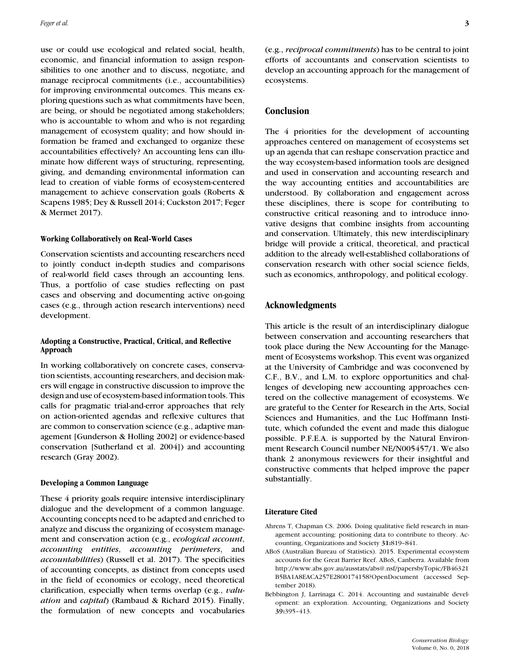use or could use ecological and related social, health, economic, and financial information to assign responsibilities to one another and to discuss, negotiate, and manage reciprocal commitments (i.e., accountabilities) for improving environmental outcomes. This means exploring questions such as what commitments have been, are being, or should be negotiated among stakeholders; who is accountable to whom and who is not regarding management of ecosystem quality; and how should information be framed and exchanged to organize these accountabilities effectively? An accounting lens can illuminate how different ways of structuring, representing, giving, and demanding environmental information can lead to creation of viable forms of ecosystem-centered management to achieve conservation goals (Roberts & Scapens 1985; Dey & Russell 2014; Cuckston 2017; Feger & Mermet 2017).

#### **Working Collaboratively on Real-World Cases**

Conservation scientists and accounting researchers need to jointly conduct in-depth studies and comparisons of real-world field cases through an accounting lens. Thus, a portfolio of case studies reflecting on past cases and observing and documenting active on-going cases (e.g., through action research interventions) need development.

#### **Adopting a Constructive, Practical, Critical, and Reflective Approach**

In working collaboratively on concrete cases, conservation scientists, accounting researchers, and decision makers will engage in constructive discussion to improve the design and use of ecosystem-based information tools. This calls for pragmatic trial-and-error approaches that rely on action-oriented agendas and reflexive cultures that are common to conservation science (e.g., adaptive management [Gunderson & Holling 2002] or evidence-based conservation [Sutherland et al. 2004]) and accounting research (Gray 2002).

#### **Developing a Common Language**

These 4 priority goals require intensive interdisciplinary dialogue and the development of a common language. Accounting concepts need to be adapted and enriched to analyze and discuss the organizing of ecosystem management and conservation action (e.g., *ecological account*, *accounting entities*, *accounting perimeters*, and *accountabilities*) (Russell et al. 2017). The specificities of accounting concepts, as distinct from concepts used in the field of economics or ecology, need theoretical clarification, especially when terms overlap (e.g., *valuation* and *capital*) (Rambaud & Richard 2015). Finally, the formulation of new concepts and vocabularies (e.g., *reciprocal commitments*) has to be central to joint efforts of accountants and conservation scientists to develop an accounting approach for the management of ecosystems.

# **Conclusion**

The 4 priorities for the development of accounting approaches centered on management of ecosystems set up an agenda that can reshape conservation practice and the way ecosystem-based information tools are designed and used in conservation and accounting research and the way accounting entities and accountabilities are understood. By collaboration and engagement across these disciplines, there is scope for contributing to constructive critical reasoning and to introduce innovative designs that combine insights from accounting and conservation. Ultimately, this new interdisciplinary bridge will provide a critical, theoretical, and practical addition to the already well-established collaborations of conservation research with other social science fields, such as economics, anthropology, and political ecology.

# **Acknowledgments**

This article is the result of an interdisciplinary dialogue between conservation and accounting researchers that took place during the New Accounting for the Management of Ecosystems workshop. This event was organized at the University of Cambridge and was coconvened by C.F., B.V., and L.M. to explore opportunities and challenges of developing new accounting approaches centered on the collective management of ecosystems. We are grateful to the Center for Research in the Arts, Social Sciences and Humanities, and the Luc Hoffmann Institute, which cofunded the event and made this dialogue possible. P.F.E.A. is supported by the Natural Environment Research Council number NE/N005457/1. We also thank 2 anonymous reviewers for their insightful and constructive comments that helped improve the paper substantially.

#### **Literature Cited**

- Ahrens T, Chapman CS. 2006. Doing qualitative field research in management accounting: positioning data to contribute to theory. Accounting, Organizations and Society **31:**819–841.
- ABoS (Australian Bureau of Statistics). 2015. Experimental ecosystem accounts for the Great Barrier Reef. ABoS, Canberra. Available from [http://www.abs.gov.au/ausstats/abs@.nsf/papersbyTopic/FB46321](http://www.abs.gov.au/ausstats/abs@.nsf/papersbyTopic/FB46321B5BA1A8EACA257E2800174158?OpenDocument) [B5BA1A8EACA257E2800174158?OpenDocument](http://www.abs.gov.au/ausstats/abs@.nsf/papersbyTopic/FB46321B5BA1A8EACA257E2800174158?OpenDocument) (accessed September 2018).
- Bebbington J, Larrinaga C. 2014. Accounting and sustainable development: an exploration. Accounting, Organizations and Society **39:**395–413.